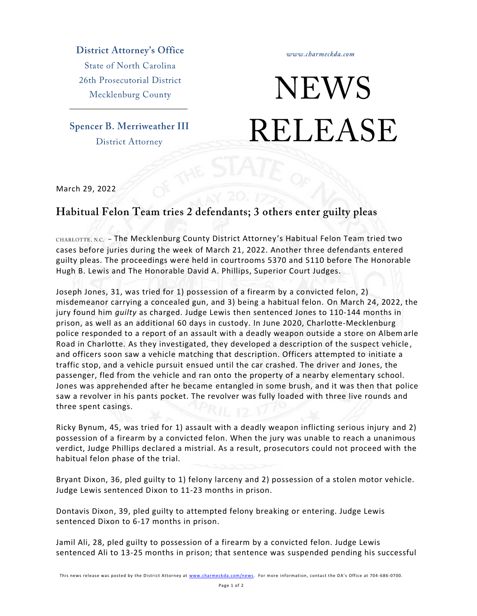**District Attorney's Office State of North Carolina** 

26th Prosecutorial District Mecklenburg County

**Spencer B. Merriweather III District Attorney** 

## **NEWS RELEASE**

www.charmeckda.com

March 29, 2022

## Habitual Felon Team tries 2 defendants; 3 others enter guilty pleas

CHARLOTTE, N.C. - The Mecklenburg County District Attorney's Habitual Felon Team tried two cases before juries during the week of March 21, 2022. Another three defendants entered guilty pleas. The proceedings were held in courtrooms 5370 and 5110 before The Honorable Hugh B. Lewis and The Honorable David A. Phillips, Superior Court Judges.

Joseph Jones, 31, was tried for 1) possession of a firearm by a convicted felon, 2) misdemeanor carrying a concealed gun, and 3) being a habitual felon. On March 24, 2022, the jury found him *guilty* as charged. Judge Lewis then sentenced Jones to 110-144 months in prison, as well as an additional 60 days in custody. In June 2020, Charlotte-Mecklenburg police responded to a report of an assault with a deadly weapon outside a store on Albemarle Road in Charlotte. As they investigated, they developed a description of the suspect vehicle , and officers soon saw a vehicle matching that description. Officers attempted to initiate a traffic stop, and a vehicle pursuit ensued until the car crashed. The driver and Jones, the passenger, fled from the vehicle and ran onto the property of a nearby elementary school. Jones was apprehended after he became entangled in some brush, and it was then that police saw a revolver in his pants pocket. The revolver was fully loaded with three live rounds and three spent casings.

Ricky Bynum, 45, was tried for 1) assault with a deadly weapon inflicting serious injury and 2) possession of a firearm by a convicted felon. When the jury was unable to reach a unanimous verdict, Judge Phillips declared a mistrial. As a result, prosecutors could not proceed with the habitual felon phase of the trial.

Bryant Dixon, 36, pled guilty to 1) felony larceny and 2) possession of a stolen motor vehicle. Judge Lewis sentenced Dixon to 11-23 months in prison.

Dontavis Dixon, 39, pled guilty to attempted felony breaking or entering. Judge Lewis sentenced Dixon to 6-17 months in prison.

Jamil Ali, 28, pled guilty to possession of a firearm by a convicted felon. Judge Lewis sentenced Ali to 13-25 months in prison; that sentence was suspended pending his successful